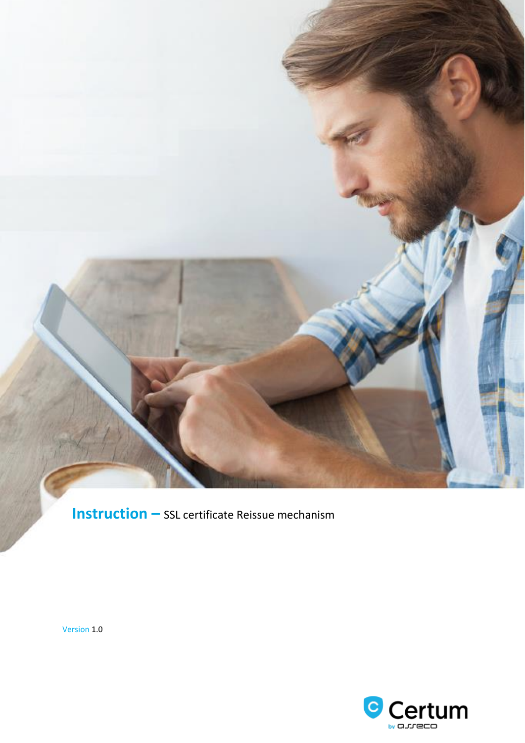**Instruction –** SSL certificate Reissue mechanism

Version 1.0

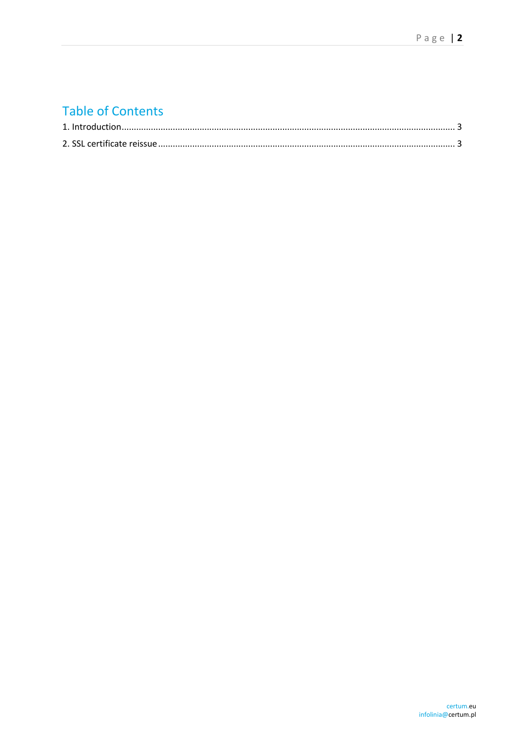# **Table of Contents**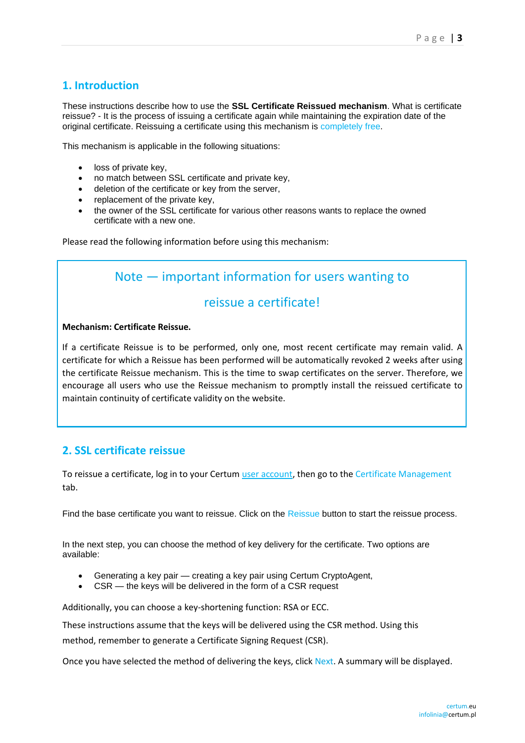### <span id="page-2-0"></span>**1. Introduction**

These instructions describe how to use the **SSL Certificate Reissued mechanism**. What is certificate reissue? - It is the process of issuing a certificate again while maintaining the expiration date of the original certificate. Reissuing a certificate using this mechanism is completely free.

This mechanism is applicable in the following situations:

- loss of private key,
- no match between SSL certificate and private key,
- deletion of the certificate or key from the server,
- replacement of the private key.
- the owner of the SSL certificate for various other reasons wants to replace the owned certificate with a new one.

Please read the following information before using this mechanism:

## Note — important information for users wanting to

### reissue a certificate!

#### **Mechanism: Certificate Reissue.**

If a certificate Reissue is to be performed, only one, most recent certificate may remain valid. A certificate for which a Reissue has been performed will be automatically revoked 2 weeks after using the certificate Reissue mechanism. This is the time to swap certificates on the server. Therefore, we encourage all users who use the Reissue mechanism to promptly install the reissued certificate to maintain continuity of certificate validity on the website.

#### <span id="page-2-1"></span>**2. SSL certificate reissue**

To reissue a certificate, log in to your Certum user account, then go to the Certificate Management tab.

Find the base certificate you want to reissue. Click on the Reissue button to start the reissue process.

In the next step, you can choose the method of key delivery for the certificate. Two options are available:

- Generating a key pair creating a key pair using Certum CryptoAgent,
- CSR the keys will be delivered in the form of a CSR request

Additionally, you can choose a key-shortening function: RSA or ECC.

These instructions assume that the keys will be delivered using the CSR method. Using this

method, remember to generate a Certificate Signing Request (CSR).

Once you have selected the method of delivering the keys, click Next. A summary will be displayed.